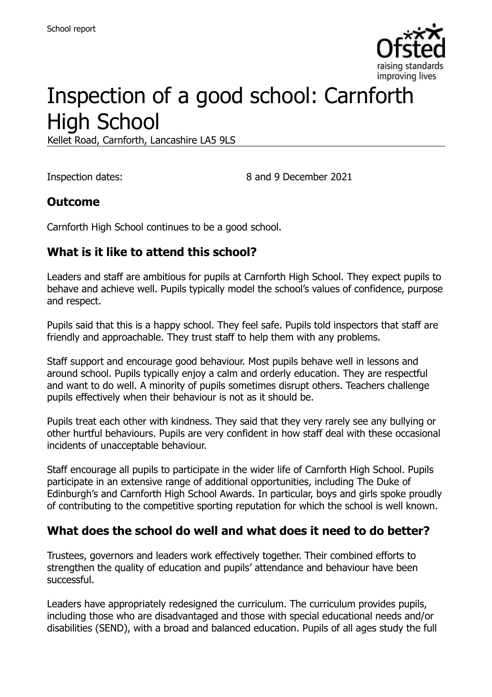

# Inspection of a good school: Carnforth High School

Kellet Road, Carnforth, Lancashire LA5 9LS

Inspection dates: 8 and 9 December 2021

#### **Outcome**

Carnforth High School continues to be a good school.

#### **What is it like to attend this school?**

Leaders and staff are ambitious for pupils at Carnforth High School. They expect pupils to behave and achieve well. Pupils typically model the school's values of confidence, purpose and respect.

Pupils said that this is a happy school. They feel safe. Pupils told inspectors that staff are friendly and approachable. They trust staff to help them with any problems.

Staff support and encourage good behaviour. Most pupils behave well in lessons and around school. Pupils typically enjoy a calm and orderly education. They are respectful and want to do well. A minority of pupils sometimes disrupt others. Teachers challenge pupils effectively when their behaviour is not as it should be.

Pupils treat each other with kindness. They said that they very rarely see any bullying or other hurtful behaviours. Pupils are very confident in how staff deal with these occasional incidents of unacceptable behaviour.

Staff encourage all pupils to participate in the wider life of Carnforth High School. Pupils participate in an extensive range of additional opportunities, including The Duke of Edinburgh's and Carnforth High School Awards. In particular, boys and girls spoke proudly of contributing to the competitive sporting reputation for which the school is well known.

#### **What does the school do well and what does it need to do better?**

Trustees, governors and leaders work effectively together. Their combined efforts to strengthen the quality of education and pupils' attendance and behaviour have been successful.

Leaders have appropriately redesigned the curriculum. The curriculum provides pupils, including those who are disadvantaged and those with special educational needs and/or disabilities (SEND), with a broad and balanced education. Pupils of all ages study the full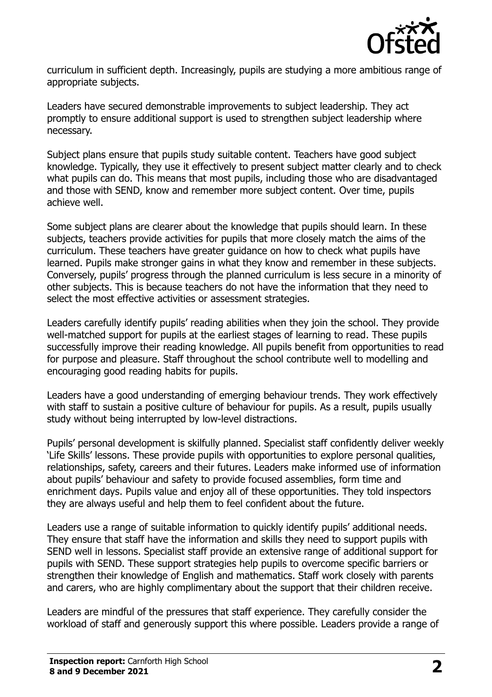

curriculum in sufficient depth. Increasingly, pupils are studying a more ambitious range of appropriate subjects.

Leaders have secured demonstrable improvements to subject leadership. They act promptly to ensure additional support is used to strengthen subject leadership where necessary.

Subject plans ensure that pupils study suitable content. Teachers have good subject knowledge. Typically, they use it effectively to present subject matter clearly and to check what pupils can do. This means that most pupils, including those who are disadvantaged and those with SEND, know and remember more subject content. Over time, pupils achieve well.

Some subject plans are clearer about the knowledge that pupils should learn. In these subjects, teachers provide activities for pupils that more closely match the aims of the curriculum. These teachers have greater guidance on how to check what pupils have learned. Pupils make stronger gains in what they know and remember in these subjects. Conversely, pupils' progress through the planned curriculum is less secure in a minority of other subjects. This is because teachers do not have the information that they need to select the most effective activities or assessment strategies.

Leaders carefully identify pupils' reading abilities when they join the school. They provide well-matched support for pupils at the earliest stages of learning to read. These pupils successfully improve their reading knowledge. All pupils benefit from opportunities to read for purpose and pleasure. Staff throughout the school contribute well to modelling and encouraging good reading habits for pupils.

Leaders have a good understanding of emerging behaviour trends. They work effectively with staff to sustain a positive culture of behaviour for pupils. As a result, pupils usually study without being interrupted by low-level distractions.

Pupils' personal development is skilfully planned. Specialist staff confidently deliver weekly 'Life Skills' lessons. These provide pupils with opportunities to explore personal qualities, relationships, safety, careers and their futures. Leaders make informed use of information about pupils' behaviour and safety to provide focused assemblies, form time and enrichment days. Pupils value and enjoy all of these opportunities. They told inspectors they are always useful and help them to feel confident about the future.

Leaders use a range of suitable information to quickly identify pupils' additional needs. They ensure that staff have the information and skills they need to support pupils with SEND well in lessons. Specialist staff provide an extensive range of additional support for pupils with SEND. These support strategies help pupils to overcome specific barriers or strengthen their knowledge of English and mathematics. Staff work closely with parents and carers, who are highly complimentary about the support that their children receive.

Leaders are mindful of the pressures that staff experience. They carefully consider the workload of staff and generously support this where possible. Leaders provide a range of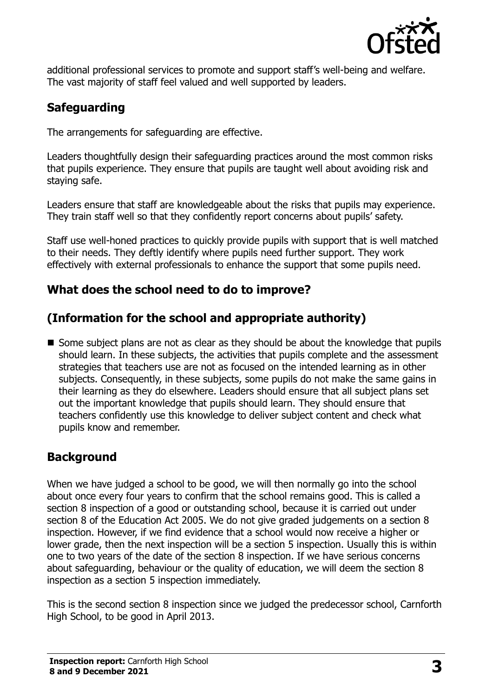

additional professional services to promote and support staff's well-being and welfare. The vast majority of staff feel valued and well supported by leaders.

## **Safeguarding**

The arrangements for safeguarding are effective.

Leaders thoughtfully design their safeguarding practices around the most common risks that pupils experience. They ensure that pupils are taught well about avoiding risk and staying safe.

Leaders ensure that staff are knowledgeable about the risks that pupils may experience. They train staff well so that they confidently report concerns about pupils' safety.

Staff use well-honed practices to quickly provide pupils with support that is well matched to their needs. They deftly identify where pupils need further support. They work effectively with external professionals to enhance the support that some pupils need.

## **What does the school need to do to improve?**

## **(Information for the school and appropriate authority)**

Some subject plans are not as clear as they should be about the knowledge that pupils should learn. In these subjects, the activities that pupils complete and the assessment strategies that teachers use are not as focused on the intended learning as in other subjects. Consequently, in these subjects, some pupils do not make the same gains in their learning as they do elsewhere. Leaders should ensure that all subject plans set out the important knowledge that pupils should learn. They should ensure that teachers confidently use this knowledge to deliver subject content and check what pupils know and remember.

## **Background**

When we have judged a school to be good, we will then normally go into the school about once every four years to confirm that the school remains good. This is called a section 8 inspection of a good or outstanding school, because it is carried out under section 8 of the Education Act 2005. We do not give graded judgements on a section 8 inspection. However, if we find evidence that a school would now receive a higher or lower grade, then the next inspection will be a section 5 inspection. Usually this is within one to two years of the date of the section 8 inspection. If we have serious concerns about safeguarding, behaviour or the quality of education, we will deem the section 8 inspection as a section 5 inspection immediately.

This is the second section 8 inspection since we judged the predecessor school, Carnforth High School, to be good in April 2013.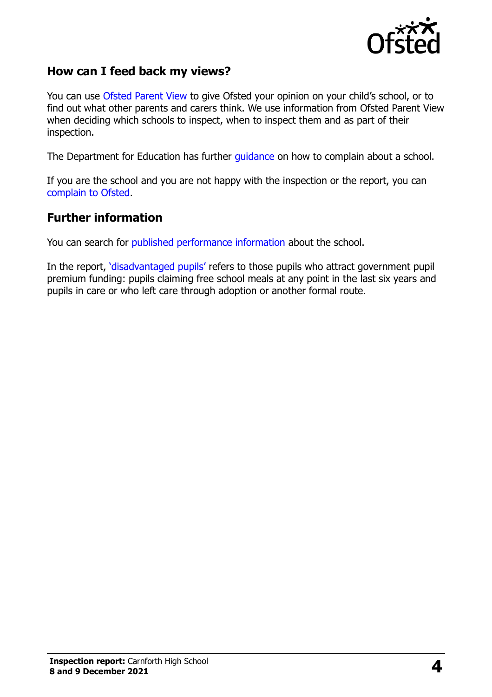

#### **How can I feed back my views?**

You can use [Ofsted Parent View](https://parentview.ofsted.gov.uk/) to give Ofsted your opinion on your child's school, or to find out what other parents and carers think. We use information from Ofsted Parent View when deciding which schools to inspect, when to inspect them and as part of their inspection.

The Department for Education has further [guidance](http://www.gov.uk/complain-about-school) on how to complain about a school.

If you are the school and you are not happy with the inspection or the report, you can [complain to Ofsted.](https://www.gov.uk/complain-ofsted-report)

#### **Further information**

You can search for [published performance information](http://www.compare-school-performance.service.gov.uk/) about the school.

In the report, '[disadvantaged pupils](http://www.gov.uk/guidance/pupil-premium-information-for-schools-and-alternative-provision-settings)' refers to those pupils who attract government pupil premium funding: pupils claiming free school meals at any point in the last six years and pupils in care or who left care through adoption or another formal route.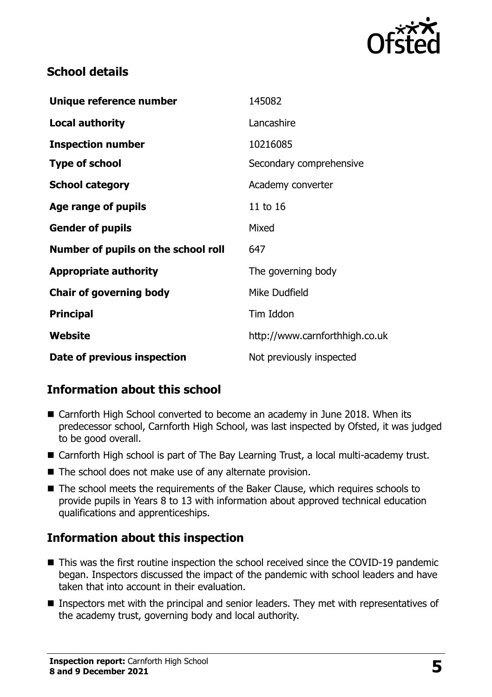

## **School details**

| Unique reference number             | 145082                         |
|-------------------------------------|--------------------------------|
| <b>Local authority</b>              | Lancashire                     |
| <b>Inspection number</b>            | 10216085                       |
| <b>Type of school</b>               | Secondary comprehensive        |
| <b>School category</b>              | Academy converter              |
| Age range of pupils                 | 11 to 16                       |
| <b>Gender of pupils</b>             | Mixed                          |
| Number of pupils on the school roll | 647                            |
| <b>Appropriate authority</b>        | The governing body             |
| <b>Chair of governing body</b>      | Mike Dudfield                  |
| <b>Principal</b>                    | Tim Iddon                      |
| Website                             | http://www.carnforthhigh.co.uk |
| Date of previous inspection         | Not previously inspected       |

## **Information about this school**

- Carnforth High School converted to become an academy in June 2018. When its predecessor school, Carnforth High School, was last inspected by Ofsted, it was judged to be good overall.
- Carnforth High school is part of The Bay Learning Trust, a local multi-academy trust.
- The school does not make use of any alternate provision.
- The school meets the requirements of the Baker Clause, which requires schools to provide pupils in Years 8 to 13 with information about approved technical education qualifications and apprenticeships.

## **Information about this inspection**

- This was the first routine inspection the school received since the COVID-19 pandemic began. Inspectors discussed the impact of the pandemic with school leaders and have taken that into account in their evaluation.
- **Inspectors met with the principal and senior leaders. They met with representatives of** the academy trust, governing body and local authority.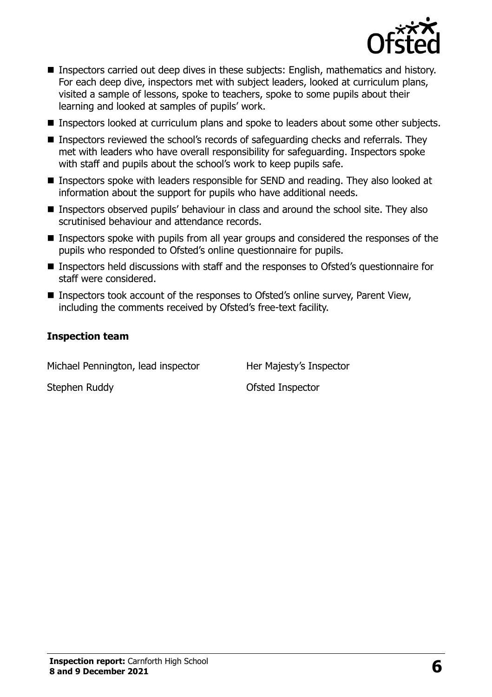

- **Inspectors carried out deep dives in these subjects: English, mathematics and history.** For each deep dive, inspectors met with subject leaders, looked at curriculum plans, visited a sample of lessons, spoke to teachers, spoke to some pupils about their learning and looked at samples of pupils' work.
- **Inspectors looked at curriculum plans and spoke to leaders about some other subjects.**
- Inspectors reviewed the school's records of safeguarding checks and referrals. They met with leaders who have overall responsibility for safeguarding. Inspectors spoke with staff and pupils about the school's work to keep pupils safe.
- Inspectors spoke with leaders responsible for SEND and reading. They also looked at information about the support for pupils who have additional needs.
- Inspectors observed pupils' behaviour in class and around the school site. They also scrutinised behaviour and attendance records.
- Inspectors spoke with pupils from all year groups and considered the responses of the pupils who responded to Ofsted's online questionnaire for pupils.
- Inspectors held discussions with staff and the responses to Ofsted's questionnaire for staff were considered.
- Inspectors took account of the responses to Ofsted's online survey, Parent View, including the comments received by Ofsted's free-text facility.

#### **Inspection team**

Michael Pennington, lead inspector Her Majesty's Inspector Stephen Ruddy **Calculation Control** Ofsted Inspector